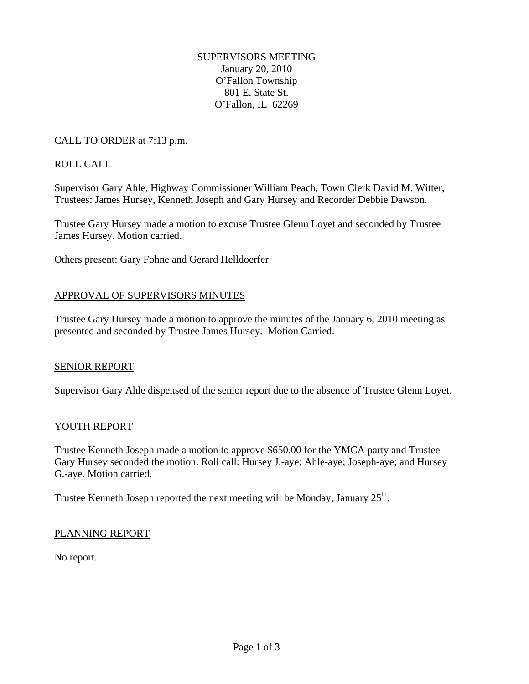# SUPERVISORS MEETING

January 20, 2010 O'Fallon Township 801 E. State St. O'Fallon, IL 62269

# CALL TO ORDER at 7:13 p.m.

# ROLL CALL

Supervisor Gary Ahle, Highway Commissioner William Peach, Town Clerk David M. Witter, Trustees: James Hursey, Kenneth Joseph and Gary Hursey and Recorder Debbie Dawson.

Trustee Gary Hursey made a motion to excuse Trustee Glenn Loyet and seconded by Trustee James Hursey. Motion carried.

Others present: Gary Fohne and Gerard Helldoerfer

# APPROVAL OF SUPERVISORS MINUTES

Trustee Gary Hursey made a motion to approve the minutes of the January 6, 2010 meeting as presented and seconded by Trustee James Hursey. Motion Carried.

#### SENIOR REPORT

Supervisor Gary Ahle dispensed of the senior report due to the absence of Trustee Glenn Loyet.

#### YOUTH REPORT

Trustee Kenneth Joseph made a motion to approve \$650.00 for the YMCA party and Trustee Gary Hursey seconded the motion. Roll call: Hursey J.-aye; Ahle-aye; Joseph-aye; and Hursey G.-aye. Motion carried.

Trustee Kenneth Joseph reported the next meeting will be Monday, January 25<sup>th</sup>.

#### PLANNING REPORT

No report.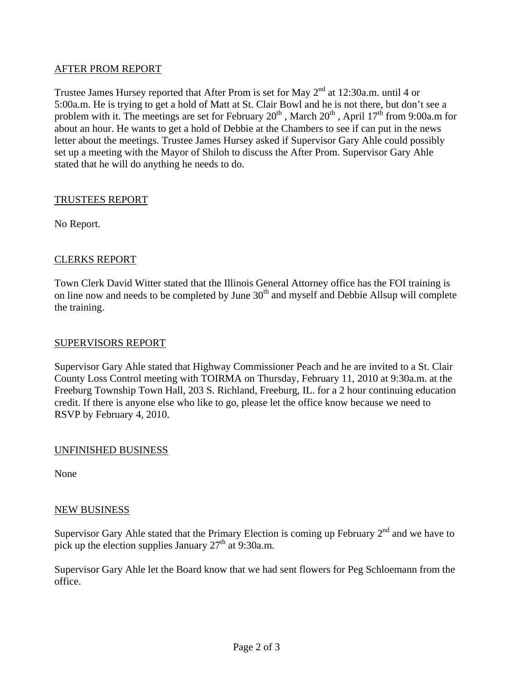# AFTER PROM REPORT

Trustee James Hursey reported that After Prom is set for May  $2<sup>nd</sup>$  at 12:30a.m. until 4 or 5:00a.m. He is trying to get a hold of Matt at St. Clair Bowl and he is not there, but don't see a problem with it. The meetings are set for February  $20^{th}$ , March  $20^{th}$ , April  $17^{th}$  from 9:00a.m for about an hour. He wants to get a hold of Debbie at the Chambers to see if can put in the news letter about the meetings. Trustee James Hursey asked if Supervisor Gary Ahle could possibly set up a meeting with the Mayor of Shiloh to discuss the After Prom. Supervisor Gary Ahle stated that he will do anything he needs to do.

# TRUSTEES REPORT

No Report.

# CLERKS REPORT

Town Clerk David Witter stated that the Illinois General Attorney office has the FOI training is on line now and needs to be completed by June  $30<sup>th</sup>$  and myself and Debbie Allsup will complete the training.

#### SUPERVISORS REPORT

Supervisor Gary Ahle stated that Highway Commissioner Peach and he are invited to a St. Clair County Loss Control meeting with TOIRMA on Thursday, February 11, 2010 at 9:30a.m. at the Freeburg Township Town Hall, 203 S. Richland, Freeburg, IL. for a 2 hour continuing education credit. If there is anyone else who like to go, please let the office know because we need to RSVP by February 4, 2010.

#### UNFINISHED BUSINESS

None

#### NEW BUSINESS

Supervisor Gary Ahle stated that the Primary Election is coming up February  $2<sup>nd</sup>$  and we have to pick up the election supplies January  $27<sup>th</sup>$  at 9:30a.m.

Supervisor Gary Ahle let the Board know that we had sent flowers for Peg Schloemann from the office.